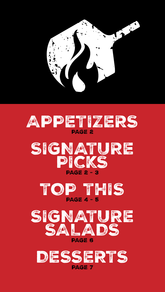









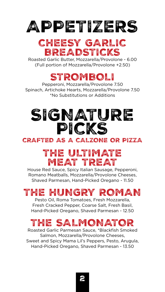# APPETIZERS

### CHEESY GARLIC **BREADSTICKS**

Roasted Garlic Butter, Mozzarella/Provolone - 6.00 (Full portion of Mozzarella/Provolone +2.50)

### STROMBOLI

Pepperoni, Mozzarella/Provolone 7.50 Spinach, Artichoke Hearts, Mozzarella/Provolone 7.50 \*No Substitutions or Additions

## SIGNATURE PICKS CRAFTED AS A CALZONE OR PIZZA

### THE ULTIMATE MEAT TREAT

House Red Sauce, Spicy Italian Sausage, Pepperoni, Romano Meatballs, Mozzarella/Provolone Cheeses, Shaved Parmesan, Hand-Picked Oregano - 11.50

### THE HUNGRY ROMAN

Pesto Oil, Roma Tomatoes, Fresh Mozzarella, Fresh Cracked Pepper, Coarse Salt, Fresh Basil, Hand-Picked Oregano, Shaved Parmesan - 12.50

### THE SALMONATOR

Roasted Garlic Parmesan Sauce, \*Blackfish Smoked Salmon, Mozzarella/Provolone Cheeses, Sweet and Spicy Mama Lil's Peppers, Pesto, Arugula, Hand-Picked Oregano, Shaved Parmesan - 13.50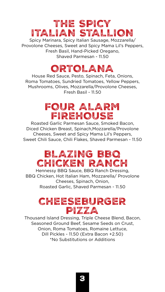### THE SPICY ITALIAN STALLION

Spicy Marinara, Spicy Italian Sausage, Mozzarella/ Provolone Cheeses, Sweet and Spicy Mama Lil's Peppers, Fresh Basil, Hand-Picked Oregano, Shaved Parmesan - 11.50

### ORTOLANA

House Red Sauce, Pesto, Spinach, Feta, Onions, Roma Tomatoes, Sundried Tomatoes, Yellow Peppers, Mushrooms, Olives, Mozzarella/Provolone Cheeses, Fresh Basil - 11.50

### FOUR ALARM FIREHOUSE

Roasted Garlic Parmesan Sauce, Smoked Bacon, Diced Chicken Breast, Spinach,Mozzarella/Provolone Cheeses, Sweet and Spicy Mama Lil's Peppers, Sweet Chili Sauce, Chili Flakes, Shaved Parmesan - 11.50

### BLAZING BBQ CHICKEN RANCH

Hennessy BBQ Sauce, BBQ Ranch Dressing, BBQ Chicken, Hot Italian Ham, Mozzarella/ Provolone Cheeses, Spinach, Onion, Roasted Garlic, Shaved Parmesan - 11.50

### CHEESEBURGER PIZZA

Thousand Island Dressing, Triple Cheese Blend, Bacon, Seasoned Ground Beef, Sesame Seeds on Crust, Onion, Roma Tomatoes, Romaine Lettuce, Dill Pickles - 11.50 (Extra Bacon +2.50) \*No Substitutions or Additions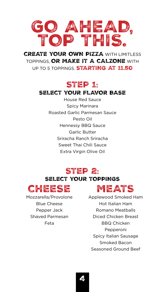

**CREATE YOUR OWN PIZZA WITH LIMITLESS** TOPPINGS, OR MAKE IT A CALZONE WITH UP TO 5 TOPPINGS **STARTING AT 11.50** 

#### STEP 1:

#### SELECT YOUR FLAVOR BASE

House Red Sauce Spicy Marinara Roasted Garlic Parmesan Sauce Pesto Oil Hennessy BBQ Sauce Garlic Butter Sriracha Ranch Sriracha Sweet Thai Chili Sauce Extra Virgin Olive Oil

#### STEP 2:

#### SELECT YOUR TOPPINGS



Blue Cheese Pepper Jack Shaved Parmesan Feta

### MEATS

Mozzarella/Provolone Applewood Smoked Ham Hot Italian Ham Romano Meatballs Diced Chicken Breast BBQ Chicken Pepperoni Spicy Italian Sausage Smoked Bacon Seasoned Ground Beef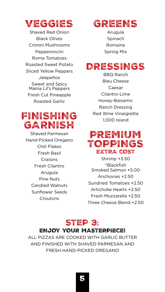

Shaved Red Onion Black Olives Crimini Mushrooms Pepperoncini Roma Tomatoes Roasted Sweet Potato Sliced Yellow Peppers Jalapeños Sweet and Spicy Mama Lil's Peppers Fresh Cut Pineapple Roasted Garlic

### FINISHING GARNISH

Shaved Parmesan Hand-Picked Oregano Chili Flakes Fresh Basil **Craisins** Fresh Cilantro Arugula Pine Nuts Candied Walnuts Sunflower Seeds **Croutons** 

### GREENS

Arugula Spinach Romaine Spring Mix

### DRESSINGS

BBQ Ranch Bleu Cheese Caesar Cilantro-Lime Honey-Balsamic Ranch Dressing Red Wine Vinaigrette 1,000 Island

#### PREMIUM TOPPINGS EXTRA COST

Shrimp +3.50 \*Blackfish Smoked Salmon +5.00 Anchovies +2.50 Sundried Tomatoes +2.50 Artichoke Hearts +2.50 Fresh Mozzarella +2.50 Three Cheese Blend +2.50

#### STEP 3: ENJOY YOUR MASTERPIECE!

ALL PIZZAS ARE COOKED WITH GARLIC BUTTER AND FINISHED WITH SHAVED PARMESAN AND FRESH HAND-PICKED OREGANO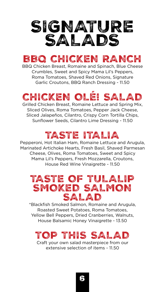

### BBQ CHICKEN RANCH

BBQ Chicken Breast, Romaine and Spinach, Blue Cheese Crumbles, Sweet and Spicy Mama Lil's Peppers, Roma Tomatoes, Shaved Red Onions, Signature Garlic Croutons, BBQ Ranch Dressing - 11.50

# CHICKEN OLÉ! SALAD

Grilled Chicken Breast, Romaine Lettuce and Spring Mix, Sliced Olives, Roma Tomatoes, Pepper Jack Cheese, Sliced Jalapeños, Cilantro, Crispy Corn Tortilla Chips, Sunflower Seeds, Cilantro Lime Dressing - 11.50

### TASTE ITALIA

Pepperoni, Hot Italian Ham, Romaine Lettuce and Arugula, Marinated Artichoke Hearts, Fresh Basil, Shaved Parmesan Cheese, Olives, Roma Tomatoes, Sweet and Spicy Mama Lil's Peppers, Fresh Mozzarella, Croutons, House Red Wine Vinaigrette - 11.50

### TASTE OF TULALIP SMOKED SALMON SALAD

\*Blackfish Smoked Salmon, Romaine and Arugula, Roasted Sweet Potatoes, Roma Tomatoes, Yellow Bell Peppers, Dried Cranberries, Walnuts, House Balsamic Honey Vinaigrette - 13.50

### TOP THIS SALA

Craft your own salad masterpiece from our extensive selection of items - 11.50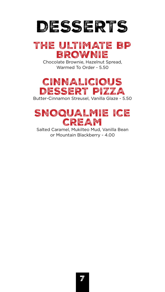

### THE ULTIMATE BP BROWNIE

Chocolate Brownie, Hazelnut Spread, Warmed To Order - 5.50



Butter-Cinnamon Streusel, Vanilla Glaze - 5.50



Salted Caramel, Mukilteo Mud, Vanilla Bean or Mountain Blackberry - 4.00